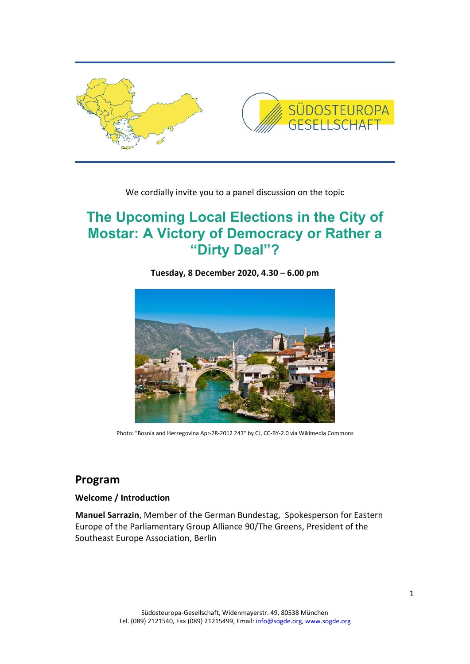

We cordially invite you to a panel discussion on the topic

## **The Upcoming Local Elections in the City of Mostar: A Victory of Democracy or Rather a "Dirty Deal"?**

**Tuesday, 8 December 2020, 4.30 – 6.00 pm**



Photo: "Bosnia and Herzegovina Apr-28-2012 243" by CJ, CC-BY-2.0 via Wikimedia Commons

## **Program**

**Welcome / Introduction** 

**Manuel Sarrazin**, Member of the German Bundestag, Spokesperson for Eastern Europe of the Parliamentary Group Alliance 90/The Greens, President of the Southeast Europe Association, Berlin